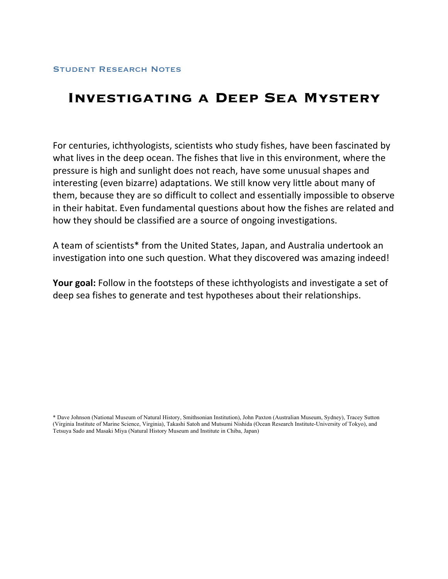# **Investigating a Deep Sea Mystery**

For centuries, ichthyologists, scientists who study fishes, have been fascinated by what lives in the deep ocean. The fishes that live in this environment, where the pressure
is
high
and
sunlight
does
not
reach,
have
some
unusual
shapes
and interesting (even
bizarre) adaptations.
We
still
know
very
little
about
many of them, because they are so difficult to collect and essentially impossible to observe in
their
habitat.
Even
fundamental
questions
about
how
the
fishes are
related
and how
they
should
be
classified
are
a
source
of ongoing
investigations.

A
team
of
scientists\*
from
the
United
States,
Japan,
and
Australia
undertook
an investigation into one such question. What they discovered was amazing indeed!

Your goal: Follow in the footsteps of these ichthyologists and investigate a set of deep
sea
fishes to
generate
and
test
hypotheses
about
their
relationships.

\* Dave Johnson (National Museum of Natural History, Smithsonian Institution), John Paxton (Australian Museum, Sydney), Tracey Sutton (Virginia Institute of Marine Science, Virginia), Takashi Satoh and Mutsumi Nishida (Ocean Research Institute-University of Tokyo), and Tetsuya Sado and Masaki Miya (Natural History Museum and Institute in Chiba, Japan)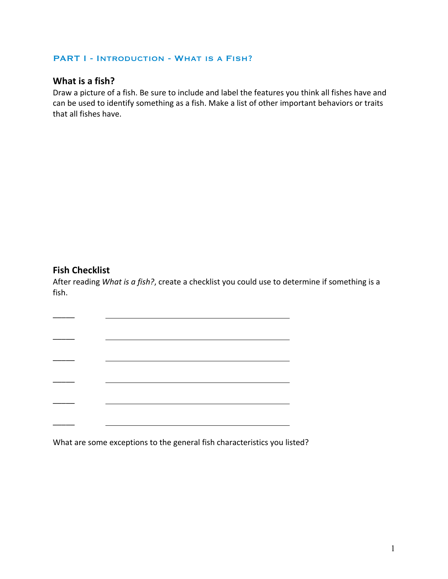#### PART I - INTRODUCTION - WHAT IS A FISH?

## **What
is
a
fish?**

Draw a picture of a fish. Be sure to include and label the features you think all fishes have and can
be
used
to
identify
something
as
a
fish.
Make
a
list
of
other
important
behaviors
or
traits that
all
fishes
have.

## **Fish
Checklist**

 $\overline{\phantom{a}}$ 

 $\overline{\phantom{a}}$ 

 $\overline{\phantom{a}}$ 

 $\overline{\phantom{a}}$ 

\_\_\_\_\_

 $\overline{\phantom{a}}$ 

After reading What is a fish?, create a checklist you could use to determine if something is a fish.

What are some exceptions to the general fish characteristics you listed?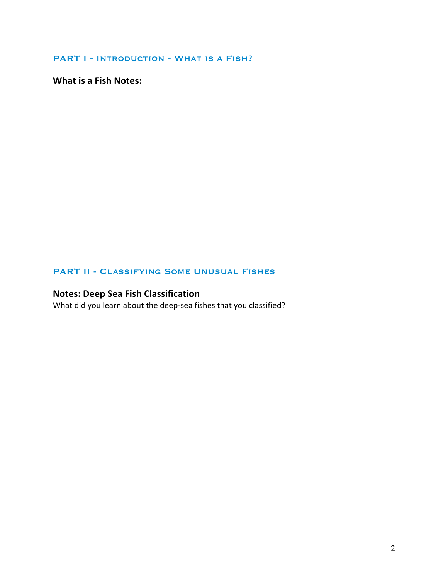PART I - INTRODUCTION - WHAT IS A FISH?

**What
is
a
Fish
Notes:**

### PART II - Classifying Some Unusual Fishes

# **Notes:
Deep
Sea
Fish
Classification**

What did you learn about the deep-sea fishes that you classified?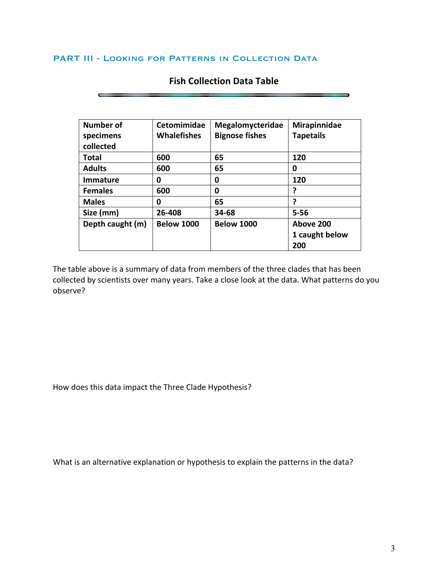#### PART III - LOOKING FOR PATTERNS IN COLLECTION DATA

| <b>Number of</b> | Cetomimidae        | Megalomycteridae      | Mirapinnidae     |
|------------------|--------------------|-----------------------|------------------|
| specimens        | <b>Whalefishes</b> | <b>Bignose fishes</b> | <b>Tapetails</b> |
| collected        |                    |                       |                  |
| Total            | 600                | 65                    | 120              |
| <b>Adults</b>    | 600                | 65                    | 0                |
| <b>Immature</b>  | 0                  | 0                     | 120              |
| <b>Females</b>   | 600                | 0                     |                  |
| <b>Males</b>     | 0                  | 65                    |                  |
| Size (mm)        | 26-408             | 34-68                 | $5 - 56$         |
| Depth caught (m) | <b>Below 1000</b>  | <b>Below 1000</b>     | Above 200        |
|                  |                    |                       | 1 caught below   |
|                  |                    |                       | 200              |

## **Fish
Collection
Data
Table**

The
table
above
is
a
summary
of
data
from
members
of
the
three
clades
that
has
been collected by scientists over many years. Take a close look at the data. What patterns do you observe?

How
does
this
data
impact
the
Three
Clade
Hypothesis?

What is an alternative explanation or hypothesis to explain the patterns in the data?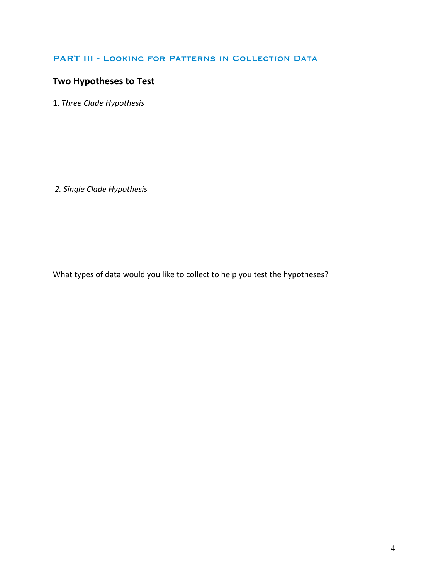#### PART III - LOOKING FOR PATTERNS IN COLLECTION DATA

# **Two
Hypotheses
to
Test**

1. *Three
Clade
Hypothesis*

*2.
Single
Clade
Hypothesis*

What types of data would you like to collect to help you test the hypotheses?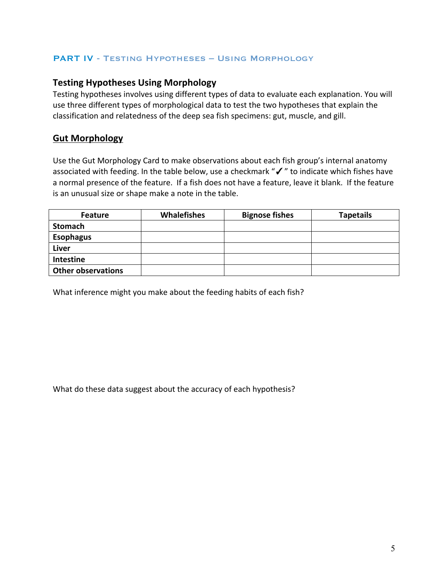#### PART IV - Testing Hypotheses – Using Morphology

## **Testing
Hypotheses
Using
Morphology**

Testing hypotheses involves using different types of data to evaluate each explanation. You will use
three
different
types
of
morphological
data
to
test
the
two
hypotheses
that
explain
the classification
and
relatedness
of
the
deep
sea
fish
specimens:
gut,
muscle,
and
gill.

## **Gut
Morphology**

Use the Gut Morphology Card to make observations about each fish group's internal anatomy associated with feeding. In the table below, use a checkmark "√" to indicate which fishes have a normal presence of the feature. If a fish does not have a feature, leave it blank. If the feature is
an
unusual
size
or
shape
make
a
note
in
the
table.

| <b>Feature</b>            | <b>Whalefishes</b> | <b>Bignose fishes</b> | <b>Tapetails</b> |
|---------------------------|--------------------|-----------------------|------------------|
| <b>Stomach</b>            |                    |                       |                  |
| <b>Esophagus</b>          |                    |                       |                  |
| <b>Liver</b>              |                    |                       |                  |
| Intestine                 |                    |                       |                  |
| <b>Other observations</b> |                    |                       |                  |

What
inference
might
you
make
about
the
feeding
habits
of
each
fish?

What do these data suggest about the accuracy of each hypothesis?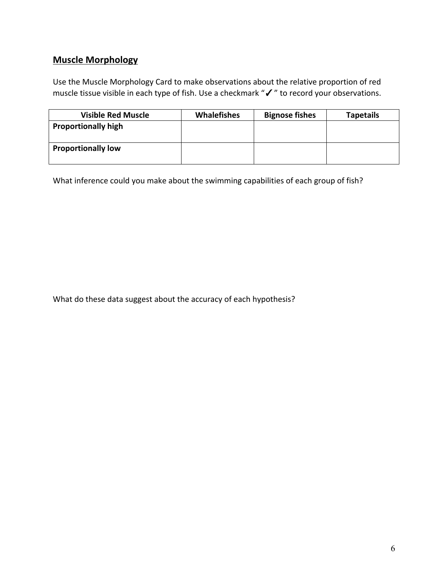# **Muscle
Morphology**

Use
the
Muscle
Morphology
Card
to
make
observations
about
the
relative
proportion
of
red muscle tissue visible in each type of fish. Use a checkmark "√" to record your observations.

| <b>Visible Red Muscle</b>  | <b>Whalefishes</b> | <b>Bignose fishes</b> | <b>Tapetails</b> |
|----------------------------|--------------------|-----------------------|------------------|
| <b>Proportionally high</b> |                    |                       |                  |
| <b>Proportionally low</b>  |                    |                       |                  |

What inference could you make about the swimming capabilities of each group of fish?

What do these data suggest about the accuracy of each hypothesis?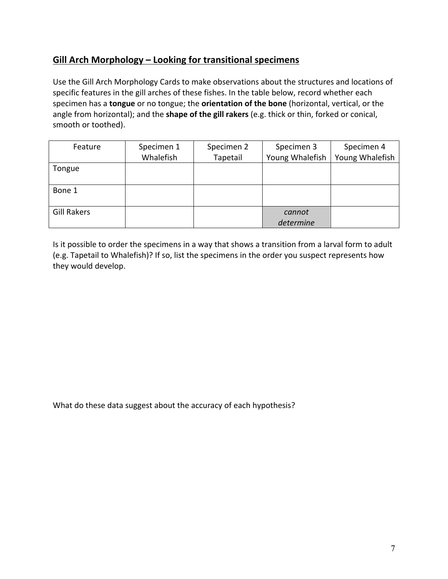# **Gill Arch Morphology
– Looking
for
transitional
specimens**

Use the Gill Arch Morphology Cards to make observations about the structures and locations of specific features in the gill arches of these fishes. In the table below, record whether each specimen has a **tongue** or no tongue; the **orientation of the bone** (horizontal, vertical, or the angle from horizontal); and the **shape of the gill rakers** (e.g. thick or thin, forked or conical, smooth
or
toothed).

| Feature            | Specimen 1 | Specimen 2 | Specimen 3      | Specimen 4      |
|--------------------|------------|------------|-----------------|-----------------|
|                    | Whalefish  | Tapetail   | Young Whalefish | Young Whalefish |
| Tongue             |            |            |                 |                 |
|                    |            |            |                 |                 |
| Bone 1             |            |            |                 |                 |
|                    |            |            |                 |                 |
| <b>Gill Rakers</b> |            |            | cannot          |                 |
|                    |            |            | determine       |                 |

Is it possible to order the specimens in a way that shows a transition from a larval form to adult (e.g.
Tapetail
to
Whalefish)?
If
so,
list
the
specimens
in
the
order you
suspect
represents
how they
would
develop.

What do these data suggest about the accuracy of each hypothesis?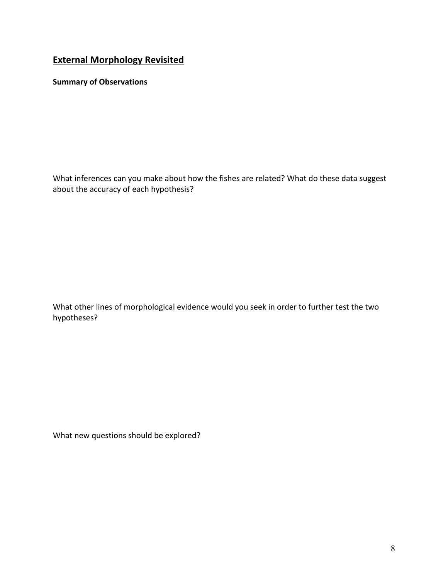# **External
Morphology
Revisited**

**Summary
of
Observations**

What inferences can you make about how the fishes are related? What do these data suggest about
the accuracy
of
each
hypothesis?

What other lines of morphological evidence would you seek in order to further test the two hypotheses?

What
new
questions
should
be
explored?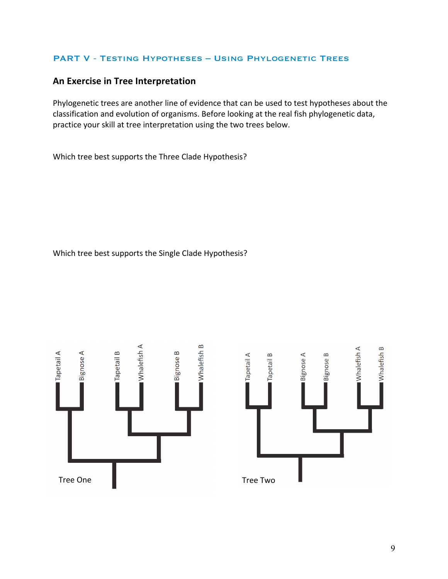#### PART V - Testing Hypotheses – Using Phylogenetic Trees

## **An
Exercise
in
Tree
Interpretation**

Phylogenetic trees are another line of evidence that can be used to test hypotheses about the classification
and
evolution
of
organisms.
Before
looking
at
the
real
fish
phylogenetic
data, practice
your
skill
at
tree
interpretation
using
the
two
trees
below.

Which
tree
best
supports
the
Three
Clade
Hypothesis?

Which
tree
best
supports
the
Single
Clade
Hypothesis?

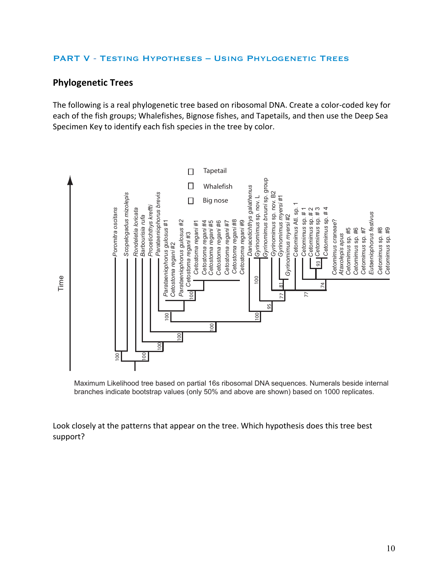#### PART V - Testing Hypotheses – Using Phylogenetic Trees

## **Phylogenetic
Trees**

The
following
is
a
real
phylogenetic
tree
based
on
ribosomal
DNA.
Create
a
color‐coded
key
for each of the fish groups; Whalefishes, Bignose fishes, and Tapetails, and then use the Deep Sea Specimen Key to identify each fish species in the tree by color.



Maximum Likelihood tree based on partial 16s ribosomal DNA sequences. Numerals beside internal branches indicate bootstrap values (only 50% and above are shown) based on 1000 replicates.

Look closely at the patterns that appear on the tree. Which hypothesis does this tree best support?